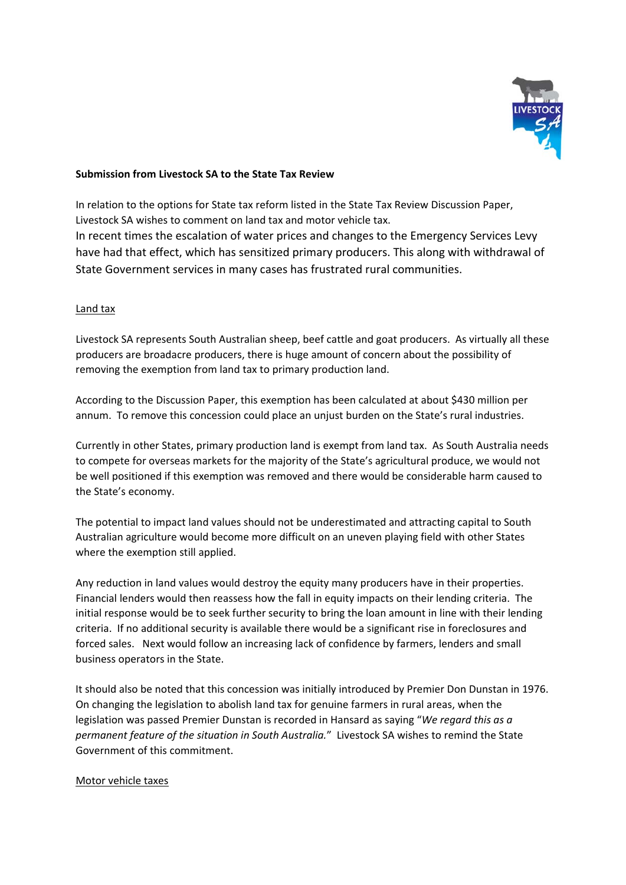

## **Submission from Livestock SA to the State Tax Review**

In relation to the options for State tax reform listed in the State Tax Review Discussion Paper, Livestock SA wishes to comment on land tax and motor vehicle tax. In recent times the escalation of water prices and changes to the Emergency Services Levy have had that effect, which has sensitized primary producers. This along with withdrawal of State Government services in many cases has frustrated rural communities.

## Land tax

Livestock SA represents South Australian sheep, beef cattle and goat producers. As virtually all these producers are broadacre producers, there is huge amount of concern about the possibility of removing the exemption from land tax to primary production land.

According to the Discussion Paper, this exemption has been calculated at about \$430 million per annum. To remove this concession could place an unjust burden on the State's rural industries.

Currently in other States, primary production land is exempt from land tax. As South Australia needs to compete for overseas markets for the majority of the State's agricultural produce, we would not be well positioned if this exemption was removed and there would be considerable harm caused to the State's economy.

The potential to impact land values should not be underestimated and attracting capital to South Australian agriculture would become more difficult on an uneven playing field with other States where the exemption still applied.

Any reduction in land values would destroy the equity many producers have in their properties. Financial lenders would then reassess how the fall in equity impacts on their lending criteria. The initial response would be to seek further security to bring the loan amount in line with their lending criteria. If no additional security is available there would be a significant rise in foreclosures and forced sales. Next would follow an increasing lack of confidence by farmers, lenders and small business operators in the State.

It should also be noted that this concession was initially introduced by Premier Don Dunstan in 1976. On changing the legislation to abolish land tax for genuine farmers in rural areas, when the legislation was passed Premier Dunstan is recorded in Hansard as saying "*We regard this as a permanent feature of the situation in South Australia.*" Livestock SA wishes to remind the State Government of this commitment.

## Motor vehicle taxes